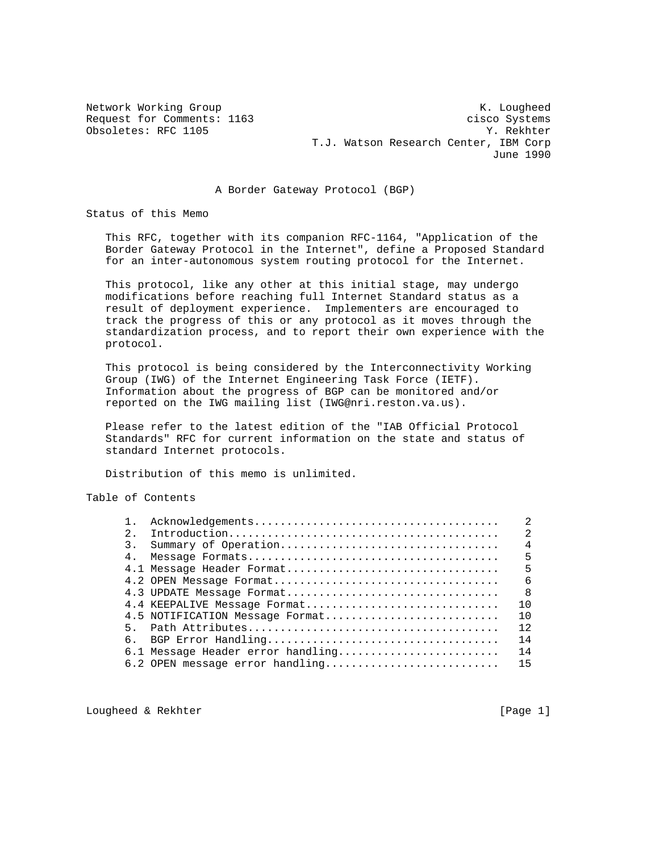Network Working Group Network Working Group Network Constants and Manual Constants Area of the Manual Constants A Request for Comments: 1163 cisco Systems Obsoletes: RFC 1105 Y. Rekhter T.J. Watson Research Center, IBM Corp June 1990

A Border Gateway Protocol (BGP)

Status of this Memo

 This RFC, together with its companion RFC-1164, "Application of the Border Gateway Protocol in the Internet", define a Proposed Standard for an inter-autonomous system routing protocol for the Internet.

 This protocol, like any other at this initial stage, may undergo modifications before reaching full Internet Standard status as a result of deployment experience. Implementers are encouraged to track the progress of this or any protocol as it moves through the standardization process, and to report their own experience with the protocol.

 This protocol is being considered by the Interconnectivity Working Group (IWG) of the Internet Engineering Task Force (IETF). Information about the progress of BGP can be monitored and/or reported on the IWG mailing list (IWG@nri.reston.va.us).

 Please refer to the latest edition of the "IAB Official Protocol Standards" RFC for current information on the state and status of standard Internet protocols.

Distribution of this memo is unlimited.

Table of Contents

|                  |                                   | 2   |
|------------------|-----------------------------------|-----|
| 2.1              |                                   | 2   |
| $\overline{3}$ . | Summary of Operation              | 4   |
| 4 <sup>1</sup>   |                                   | 5   |
|                  | 4.1 Message Header Format         | 5   |
|                  |                                   | 6   |
|                  | 4.3 UPDATE Message Format         | -8  |
|                  | 4.4 KEEPALIVE Message Format      | 10  |
|                  | 4.5 NOTIFICATION Message Format   | 10  |
| 5 <sub>1</sub>   |                                   | 12. |
|                  |                                   | 14  |
|                  | 6.1 Message Header error handling | 14  |
|                  | 6.2 OPEN message error handling   | 15  |
|                  |                                   |     |

Lougheed & Rekhter [Page 1]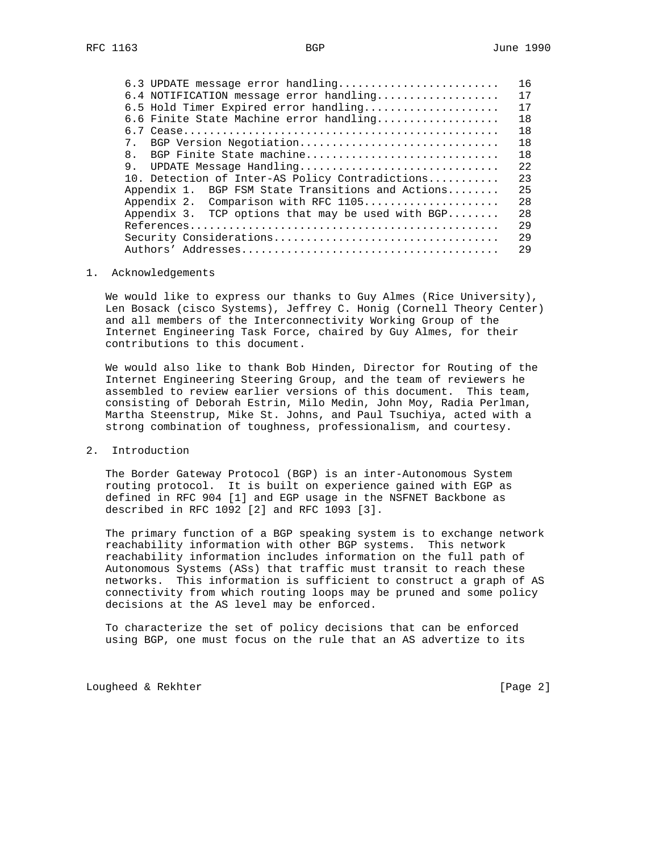| 6.3 UPDATE message error handling                 | 16 |
|---------------------------------------------------|----|
| 6.4 NOTIFICATION message error handling           | 17 |
| 6.5 Hold Timer Expired error handling             | 17 |
| 6.6 Finite State Machine error handling           | 18 |
|                                                   | 18 |
| 7. BGP Version Negotiation                        | 18 |
| BGP Finite State machine<br>8.                    | 18 |
| 9. UPDATE Message Handling                        | 22 |
| 10. Detection of Inter-AS Policy Contradictions   | 23 |
| Appendix 1. BGP FSM State Transitions and Actions | 25 |
| Appendix 2. Comparison with RFC 1105              | 28 |
| Appendix 3. TCP options that may be used with BGP | 28 |
|                                                   | 29 |
|                                                   | 29 |
|                                                   | 29 |

#### 1. Acknowledgements

 We would like to express our thanks to Guy Almes (Rice University), Len Bosack (cisco Systems), Jeffrey C. Honig (Cornell Theory Center) and all members of the Interconnectivity Working Group of the Internet Engineering Task Force, chaired by Guy Almes, for their contributions to this document.

 We would also like to thank Bob Hinden, Director for Routing of the Internet Engineering Steering Group, and the team of reviewers he assembled to review earlier versions of this document. This team, consisting of Deborah Estrin, Milo Medin, John Moy, Radia Perlman, Martha Steenstrup, Mike St. Johns, and Paul Tsuchiya, acted with a strong combination of toughness, professionalism, and courtesy.

2. Introduction

 The Border Gateway Protocol (BGP) is an inter-Autonomous System routing protocol. It is built on experience gained with EGP as defined in RFC 904 [1] and EGP usage in the NSFNET Backbone as described in RFC 1092 [2] and RFC 1093 [3].

 The primary function of a BGP speaking system is to exchange network reachability information with other BGP systems. This network reachability information includes information on the full path of Autonomous Systems (ASs) that traffic must transit to reach these networks. This information is sufficient to construct a graph of AS connectivity from which routing loops may be pruned and some policy decisions at the AS level may be enforced.

 To characterize the set of policy decisions that can be enforced using BGP, one must focus on the rule that an AS advertize to its

Lougheed & Rekhter [Page 2]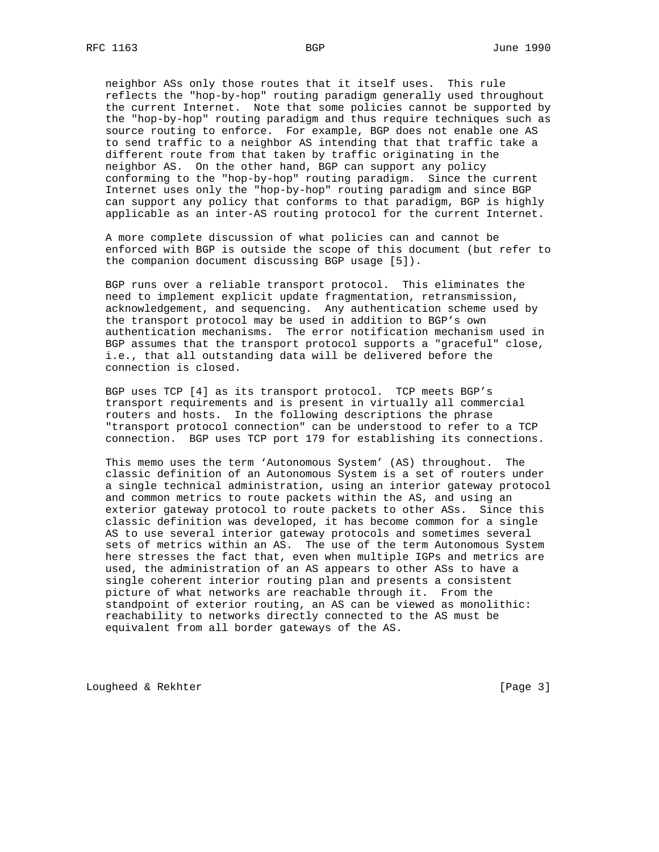neighbor ASs only those routes that it itself uses. This rule reflects the "hop-by-hop" routing paradigm generally used throughout the current Internet. Note that some policies cannot be supported by the "hop-by-hop" routing paradigm and thus require techniques such as source routing to enforce. For example, BGP does not enable one AS to send traffic to a neighbor AS intending that that traffic take a different route from that taken by traffic originating in the neighbor AS. On the other hand, BGP can support any policy conforming to the "hop-by-hop" routing paradigm. Since the current Internet uses only the "hop-by-hop" routing paradigm and since BGP can support any policy that conforms to that paradigm, BGP is highly applicable as an inter-AS routing protocol for the current Internet.

 A more complete discussion of what policies can and cannot be enforced with BGP is outside the scope of this document (but refer to the companion document discussing BGP usage [5]).

 BGP runs over a reliable transport protocol. This eliminates the need to implement explicit update fragmentation, retransmission, acknowledgement, and sequencing. Any authentication scheme used by the transport protocol may be used in addition to BGP's own authentication mechanisms. The error notification mechanism used in BGP assumes that the transport protocol supports a "graceful" close, i.e., that all outstanding data will be delivered before the connection is closed.

 BGP uses TCP [4] as its transport protocol. TCP meets BGP's transport requirements and is present in virtually all commercial routers and hosts. In the following descriptions the phrase "transport protocol connection" can be understood to refer to a TCP connection. BGP uses TCP port 179 for establishing its connections.

 This memo uses the term 'Autonomous System' (AS) throughout. The classic definition of an Autonomous System is a set of routers under a single technical administration, using an interior gateway protocol and common metrics to route packets within the AS, and using an exterior gateway protocol to route packets to other ASs. Since this classic definition was developed, it has become common for a single AS to use several interior gateway protocols and sometimes several sets of metrics within an AS. The use of the term Autonomous System here stresses the fact that, even when multiple IGPs and metrics are used, the administration of an AS appears to other ASs to have a single coherent interior routing plan and presents a consistent picture of what networks are reachable through it. From the standpoint of exterior routing, an AS can be viewed as monolithic: reachability to networks directly connected to the AS must be equivalent from all border gateways of the AS.

Lougheed & Rekhter [Page 3]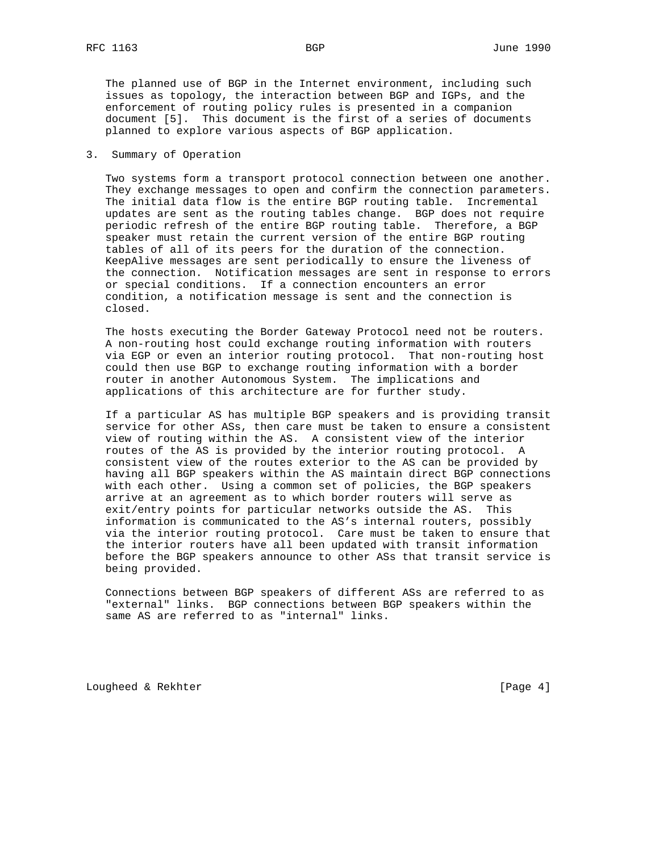The planned use of BGP in the Internet environment, including such issues as topology, the interaction between BGP and IGPs, and the enforcement of routing policy rules is presented in a companion document [5]. This document is the first of a series of documents planned to explore various aspects of BGP application.

# 3. Summary of Operation

 Two systems form a transport protocol connection between one another. They exchange messages to open and confirm the connection parameters. The initial data flow is the entire BGP routing table. Incremental updates are sent as the routing tables change. BGP does not require periodic refresh of the entire BGP routing table. Therefore, a BGP speaker must retain the current version of the entire BGP routing tables of all of its peers for the duration of the connection. KeepAlive messages are sent periodically to ensure the liveness of the connection. Notification messages are sent in response to errors or special conditions. If a connection encounters an error condition, a notification message is sent and the connection is closed.

 The hosts executing the Border Gateway Protocol need not be routers. A non-routing host could exchange routing information with routers via EGP or even an interior routing protocol. That non-routing host could then use BGP to exchange routing information with a border router in another Autonomous System. The implications and applications of this architecture are for further study.

 If a particular AS has multiple BGP speakers and is providing transit service for other ASs, then care must be taken to ensure a consistent view of routing within the AS. A consistent view of the interior routes of the AS is provided by the interior routing protocol. A consistent view of the routes exterior to the AS can be provided by having all BGP speakers within the AS maintain direct BGP connections with each other. Using a common set of policies, the BGP speakers arrive at an agreement as to which border routers will serve as exit/entry points for particular networks outside the AS. This information is communicated to the AS's internal routers, possibly via the interior routing protocol. Care must be taken to ensure that the interior routers have all been updated with transit information before the BGP speakers announce to other ASs that transit service is being provided.

 Connections between BGP speakers of different ASs are referred to as "external" links. BGP connections between BGP speakers within the same AS are referred to as "internal" links.

Lougheed & Rekhter **Example 2018** [Page 4]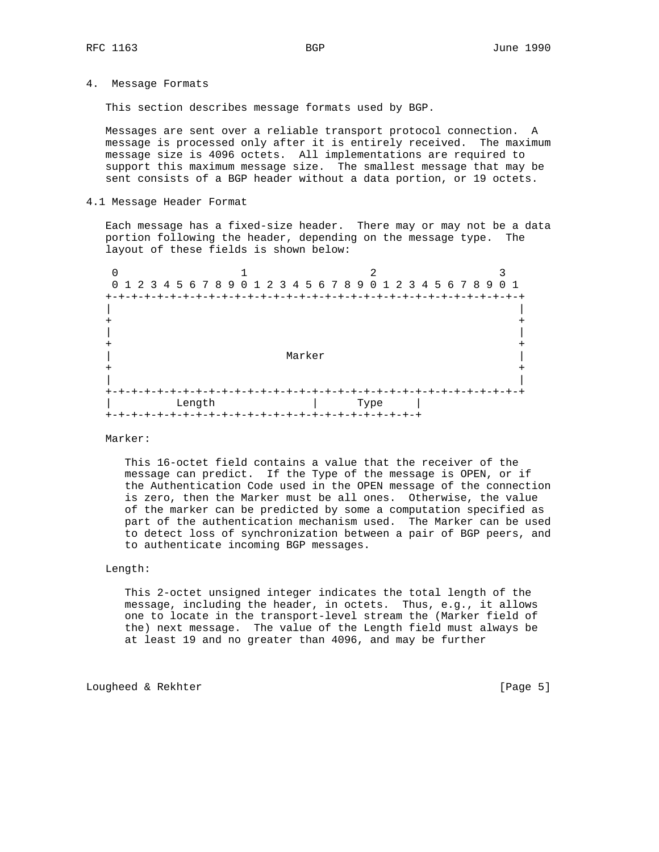### 4. Message Formats

This section describes message formats used by BGP.

 Messages are sent over a reliable transport protocol connection. A message is processed only after it is entirely received. The maximum message size is 4096 octets. All implementations are required to support this maximum message size. The smallest message that may be sent consists of a BGP header without a data portion, or 19 octets.

## 4.1 Message Header Format

 Each message has a fixed-size header. There may or may not be a data portion following the header, depending on the message type. The layout of these fields is shown below:

0  $1$  2 3 0 1 2 3 4 5 6 7 8 9 0 1 2 3 4 5 6 7 8 9 0 1 2 3 4 5 6 7 8 9 0 1 +-+-+-+-+-+-+-+-+-+-+-+-+-+-+-+-+-+-+-+-+-+-+-+-+-+-+-+-+-+-+-+-+ | | + + | | + + | Marker | + + | | +-+-+-+-+-+-+-+-+-+-+-+-+-+-+-+-+-+-+-+-+-+-+-+-+-+-+-+-+-+-+-+-+ | Length | Type | +-+-+-+-+-+-+-+-+-+-+-+-+-+-+-+-+-+-+-+-+-+-+-+-+

## Marker:

 This 16-octet field contains a value that the receiver of the message can predict. If the Type of the message is OPEN, or if the Authentication Code used in the OPEN message of the connection is zero, then the Marker must be all ones. Otherwise, the value of the marker can be predicted by some a computation specified as part of the authentication mechanism used. The Marker can be used to detect loss of synchronization between a pair of BGP peers, and to authenticate incoming BGP messages.

#### Length:

 This 2-octet unsigned integer indicates the total length of the message, including the header, in octets. Thus, e.g., it allows one to locate in the transport-level stream the (Marker field of the) next message. The value of the Length field must always be at least 19 and no greater than 4096, and may be further

Lougheed & Rekhter [Page 5]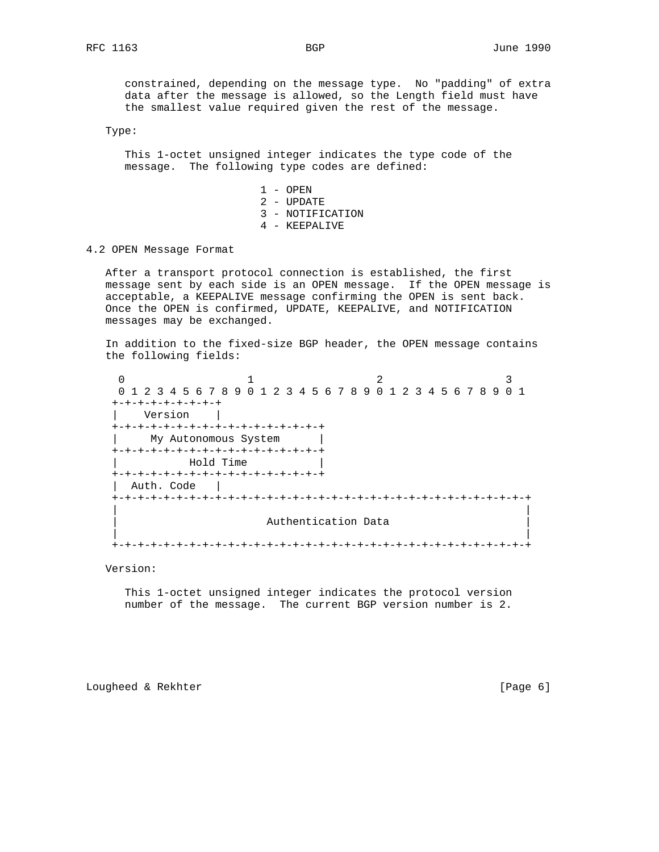constrained, depending on the message type. No "padding" of extra data after the message is allowed, so the Length field must have the smallest value required given the rest of the message.

Type:

 This 1-octet unsigned integer indicates the type code of the message. The following type codes are defined:

- 1 OPEN
- 2 UPDATE
- 3 NOTIFICATION
- 4 KEEPALIVE

4.2 OPEN Message Format

 After a transport protocol connection is established, the first message sent by each side is an OPEN message. If the OPEN message is acceptable, a KEEPALIVE message confirming the OPEN is sent back. Once the OPEN is confirmed, UPDATE, KEEPALIVE, and NOTIFICATION messages may be exchanged.

 In addition to the fixed-size BGP header, the OPEN message contains the following fields:

 $0$  1 2 3 0 1 2 3 4 5 6 7 8 9 0 1 2 3 4 5 6 7 8 9 0 1 2 3 4 5 6 7 8 9 0 1 +-+-+-+-+-+-+-+-+ Version +-+-+-+-+-+-+-+-+-+-+-+-+-+-+-+-+ | My Autonomous System | +-+-+-+-+-+-+-+-+-+-+-+-+-+-+-+-+ | Hold Time | +-+-+-+-+-+-+-+-+-+-+-+-+-+-+-+-+ Auth. Code | +-+-+-+-+-+-+-+-+-+-+-+-+-+-+-+-+-+-+-+-+-+-+-+-+-+-+-+-+-+-+-+-+ | | Authentication Data | | +-+-+-+-+-+-+-+-+-+-+-+-+-+-+-+-+-+-+-+-+-+-+-+-+-+-+-+-+-+-+-+-+

Version:

 This 1-octet unsigned integer indicates the protocol version number of the message. The current BGP version number is 2.

Lougheed & Rekhter **Example 2018** [Page 6]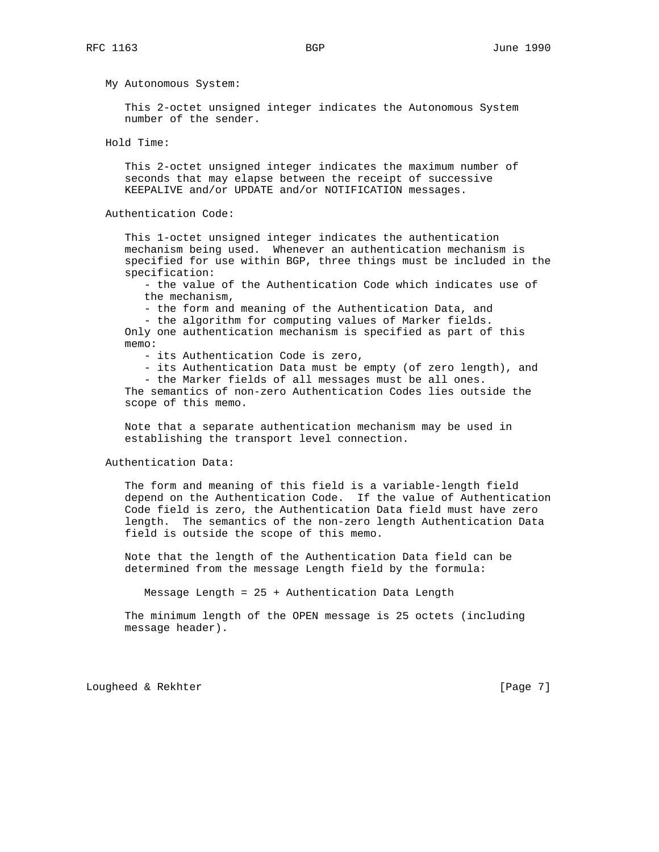My Autonomous System:

 This 2-octet unsigned integer indicates the Autonomous System number of the sender.

Hold Time:

 This 2-octet unsigned integer indicates the maximum number of seconds that may elapse between the receipt of successive KEEPALIVE and/or UPDATE and/or NOTIFICATION messages.

Authentication Code:

 This 1-octet unsigned integer indicates the authentication mechanism being used. Whenever an authentication mechanism is specified for use within BGP, three things must be included in the specification:

 - the value of the Authentication Code which indicates use of the mechanism,

- the form and meaning of the Authentication Data, and

 - the algorithm for computing values of Marker fields. Only one authentication mechanism is specified as part of this memo:

- its Authentication Code is zero,

- its Authentication Data must be empty (of zero length), and

 - the Marker fields of all messages must be all ones. The semantics of non-zero Authentication Codes lies outside the

scope of this memo.

 Note that a separate authentication mechanism may be used in establishing the transport level connection.

Authentication Data:

 The form and meaning of this field is a variable-length field depend on the Authentication Code. If the value of Authentication Code field is zero, the Authentication Data field must have zero length. The semantics of the non-zero length Authentication Data field is outside the scope of this memo.

 Note that the length of the Authentication Data field can be determined from the message Length field by the formula:

Message Length = 25 + Authentication Data Length

 The minimum length of the OPEN message is 25 octets (including message header).

Lougheed & Rekhter [Page 7]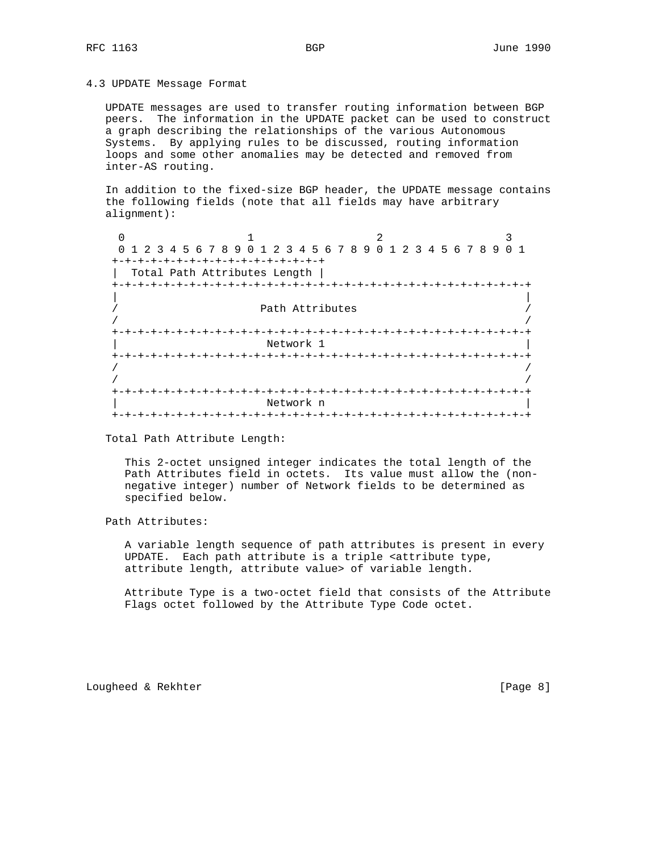4.3 UPDATE Message Format

 UPDATE messages are used to transfer routing information between BGP peers. The information in the UPDATE packet can be used to construct a graph describing the relationships of the various Autonomous Systems. By applying rules to be discussed, routing information loops and some other anomalies may be detected and removed from inter-AS routing.

 In addition to the fixed-size BGP header, the UPDATE message contains the following fields (note that all fields may have arbitrary alignment):

 $0$  1 2 3 0 1 2 3 4 5 6 7 8 9 0 1 2 3 4 5 6 7 8 9 0 1 2 3 4 5 6 7 8 9 0 1 +-+-+-+-+-+-+-+-+-+-+-+-+-+-+-+-+ | Total Path Attributes Length | +-+-+-+-+-+-+-+-+-+-+-+-+-+-+-+-+-+-+-+-+-+-+-+-+-+-+-+-+-+-+-+-+ | | Path Attributes  $\sqrt{2}$  /  $\sqrt{2}$  /  $\sqrt{2}$  /  $\sqrt{2}$  /  $\sqrt{2}$  /  $\sqrt{2}$  /  $\sqrt{2}$  /  $\sqrt{2}$  /  $\sqrt{2}$  /  $\sqrt{2}$  /  $\sqrt{2}$  /  $\sqrt{2}$  /  $\sqrt{2}$  /  $\sqrt{2}$  /  $\sqrt{2}$  /  $\sqrt{2}$  /  $\sqrt{2}$  /  $\sqrt{2}$  /  $\sqrt{2}$  /  $\sqrt{2}$  /  $\sqrt{2}$  /  $\sqrt{2}$  / +-+-+-+-+-+-+-+-+-+-+-+-+-+-+-+-+-+-+-+-+-+-+-+-+-+-+-+-+-+-+-+-+ Network 1 +-+-+-+-+-+-+-+-+-+-+-+-+-+-+-+-+-+-+-+-+-+-+-+-+-+-+-+-+-+-+-+-+ / / / / +-+-+-+-+-+-+-+-+-+-+-+-+-+-+-+-+-+-+-+-+-+-+-+-+-+-+-+-+-+-+-+-+ Network n +-+-+-+-+-+-+-+-+-+-+-+-+-+-+-+-+-+-+-+-+-+-+-+-+-+-+-+-+-+-+-+-+

Total Path Attribute Length:

 This 2-octet unsigned integer indicates the total length of the Path Attributes field in octets. Its value must allow the (non negative integer) number of Network fields to be determined as specified below.

Path Attributes:

 A variable length sequence of path attributes is present in every UPDATE. Each path attribute is a triple <attribute type, attribute length, attribute value> of variable length.

 Attribute Type is a two-octet field that consists of the Attribute Flags octet followed by the Attribute Type Code octet.

Lougheed & Rekhter **Example 2018** [Page 8]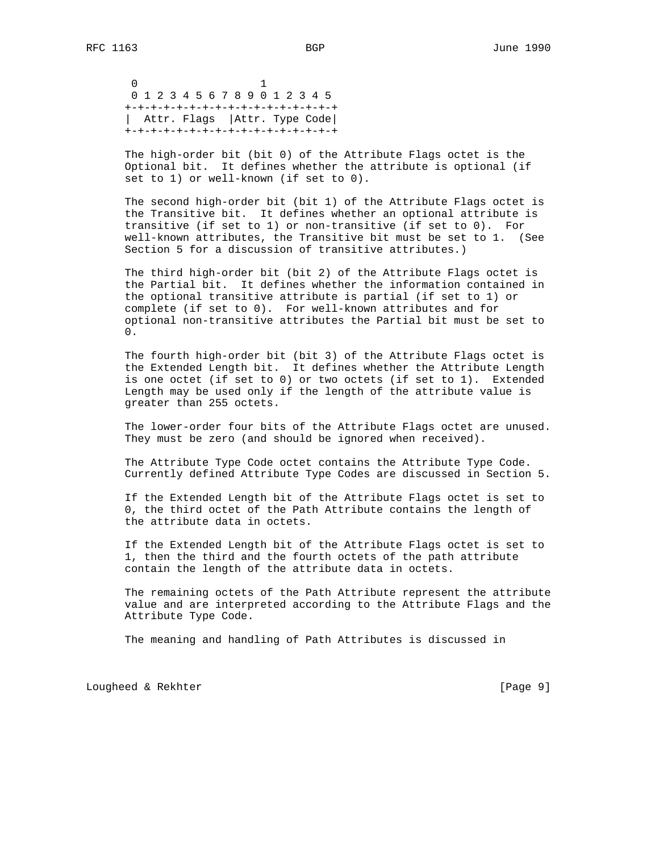$\sim$  0  $\sim$  1 0 1 2 3 4 5 6 7 8 9 0 1 2 3 4 5 +-+-+-+-+-+-+-+-+-+-+-+-+-+-+-+-+ | Attr. Flags |Attr. Type Code| +-+-+-+-+-+-+-+-+-+-+-+-+-+-+-+-+

> The high-order bit (bit 0) of the Attribute Flags octet is the Optional bit. It defines whether the attribute is optional (if set to 1) or well-known (if set to 0).

 The second high-order bit (bit 1) of the Attribute Flags octet is the Transitive bit. It defines whether an optional attribute is transitive (if set to 1) or non-transitive (if set to 0). For well-known attributes, the Transitive bit must be set to 1. (See Section 5 for a discussion of transitive attributes.)

 The third high-order bit (bit 2) of the Attribute Flags octet is the Partial bit. It defines whether the information contained in the optional transitive attribute is partial (if set to 1) or complete (if set to 0). For well-known attributes and for optional non-transitive attributes the Partial bit must be set to 0.

 The fourth high-order bit (bit 3) of the Attribute Flags octet is the Extended Length bit. It defines whether the Attribute Length is one octet (if set to 0) or two octets (if set to 1). Extended Length may be used only if the length of the attribute value is greater than 255 octets.

 The lower-order four bits of the Attribute Flags octet are unused. They must be zero (and should be ignored when received).

 The Attribute Type Code octet contains the Attribute Type Code. Currently defined Attribute Type Codes are discussed in Section 5.

 If the Extended Length bit of the Attribute Flags octet is set to 0, the third octet of the Path Attribute contains the length of the attribute data in octets.

 If the Extended Length bit of the Attribute Flags octet is set to 1, then the third and the fourth octets of the path attribute contain the length of the attribute data in octets.

 The remaining octets of the Path Attribute represent the attribute value and are interpreted according to the Attribute Flags and the Attribute Type Code.

The meaning and handling of Path Attributes is discussed in

Lougheed & Rekhter [Page 9]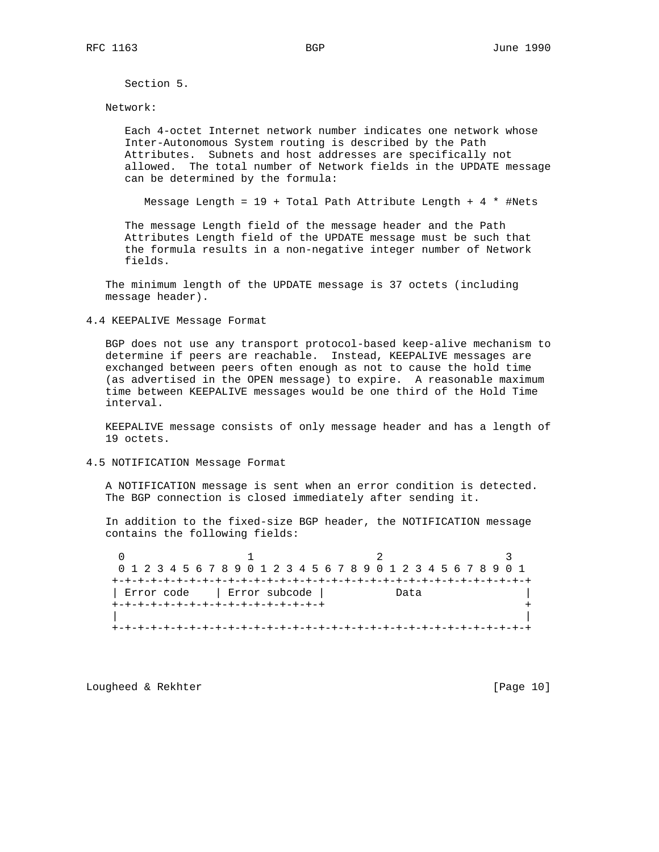Section 5.

Network:

 Each 4-octet Internet network number indicates one network whose Inter-Autonomous System routing is described by the Path Attributes. Subnets and host addresses are specifically not allowed. The total number of Network fields in the UPDATE message can be determined by the formula:

Message Length =  $19 + Total$  Path Attribute Length + 4 \* #Nets

 The message Length field of the message header and the Path Attributes Length field of the UPDATE message must be such that the formula results in a non-negative integer number of Network fields.

 The minimum length of the UPDATE message is 37 octets (including message header).

4.4 KEEPALIVE Message Format

 BGP does not use any transport protocol-based keep-alive mechanism to determine if peers are reachable. Instead, KEEPALIVE messages are exchanged between peers often enough as not to cause the hold time (as advertised in the OPEN message) to expire. A reasonable maximum time between KEEPALIVE messages would be one third of the Hold Time interval.

 KEEPALIVE message consists of only message header and has a length of 19 octets.

4.5 NOTIFICATION Message Format

 A NOTIFICATION message is sent when an error condition is detected. The BGP connection is closed immediately after sending it.

 In addition to the fixed-size BGP header, the NOTIFICATION message contains the following fields:

 $0$  1 2 3 0 1 2 3 4 5 6 7 8 9 0 1 2 3 4 5 6 7 8 9 0 1 2 3 4 5 6 7 8 9 0 1 +-+-+-+-+-+-+-+-+-+-+-+-+-+-+-+-+-+-+-+-+-+-+-+-+-+-+-+-+-+-+-+-+ | Error code | Error subcode | Data +-+-+-+-+-+-+-+-+-+-+-+-+-+-+-+-+ + | | +-+-+-+-+-+-+-+-+-+-+-+-+-+-+-+-+-+-+-+-+-+-+-+-+-+-+-+-+-+-+-+-+

Lougheed & Rekhter [Page 10]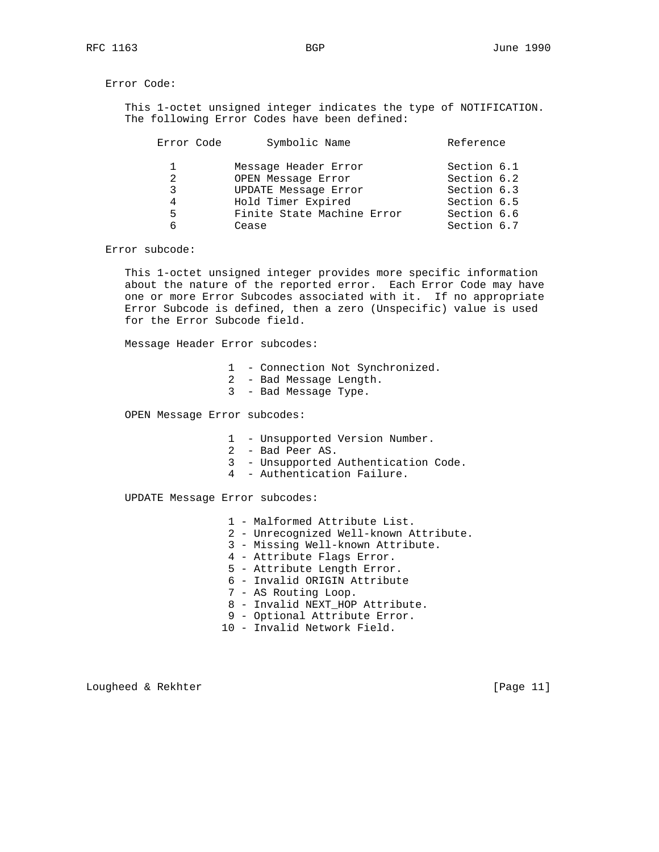Error Code:

 This 1-octet unsigned integer indicates the type of NOTIFICATION. The following Error Codes have been defined:

| Error Code   | Symbolic Name              | Reference   |
|--------------|----------------------------|-------------|
| $\mathbf{1}$ | Message Header Error       | Section 6.1 |
| 2            | OPEN Message Error         | Section 6.2 |
| 3            | UPDATE Message Error       | Section 6.3 |
| 4            | Hold Timer Expired         | Section 6.5 |
| 5            | Finite State Machine Error | Section 6.6 |
| 6            | Cease                      | Section 6.7 |

Error subcode:

 This 1-octet unsigned integer provides more specific information about the nature of the reported error. Each Error Code may have one or more Error Subcodes associated with it. If no appropriate Error Subcode is defined, then a zero (Unspecific) value is used for the Error Subcode field.

Message Header Error subcodes:

- 1 Connection Not Synchronized.
- 2 Bad Message Length.
- 3 Bad Message Type.

OPEN Message Error subcodes:

- 1 Unsupported Version Number.
- 2 Bad Peer AS.
- 3 Unsupported Authentication Code.
- 4 Authentication Failure.

UPDATE Message Error subcodes:

- 1 Malformed Attribute List.
- 2 Unrecognized Well-known Attribute.
- 3 Missing Well-known Attribute.
- 4 Attribute Flags Error.
- 5 Attribute Length Error.
- 6 Invalid ORIGIN Attribute
- 7 AS Routing Loop.
- 8 Invalid NEXT\_HOP Attribute.
- 9 Optional Attribute Error.
- 10 Invalid Network Field.

Lougheed & Rekhter [Page 11]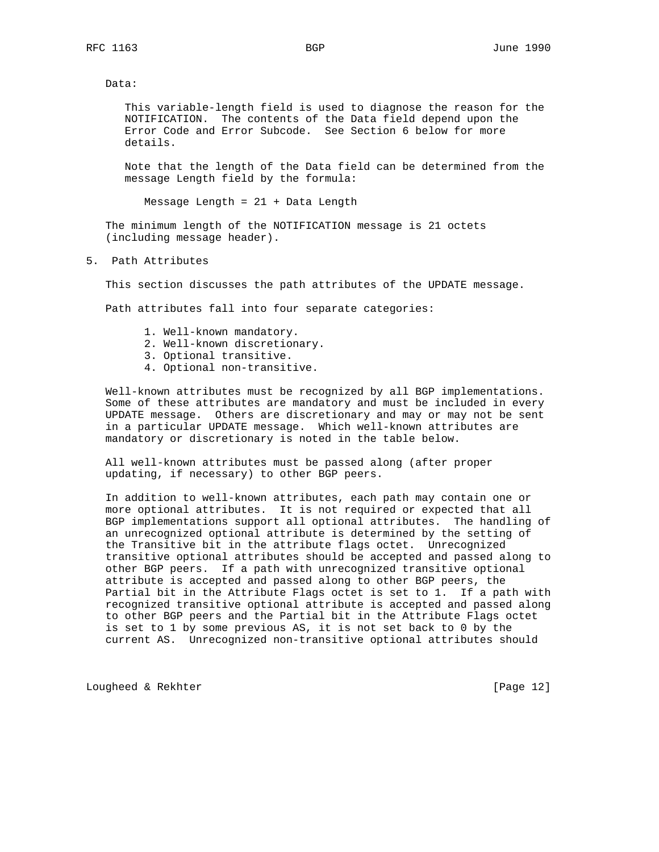Data:

 This variable-length field is used to diagnose the reason for the NOTIFICATION. The contents of the Data field depend upon the Error Code and Error Subcode. See Section 6 below for more details.

 Note that the length of the Data field can be determined from the message Length field by the formula:

Message Length = 21 + Data Length

 The minimum length of the NOTIFICATION message is 21 octets (including message header).

5. Path Attributes

This section discusses the path attributes of the UPDATE message.

Path attributes fall into four separate categories:

- 1. Well-known mandatory.
- 2. Well-known discretionary.
- 3. Optional transitive.
- 4. Optional non-transitive.

 Well-known attributes must be recognized by all BGP implementations. Some of these attributes are mandatory and must be included in every UPDATE message. Others are discretionary and may or may not be sent in a particular UPDATE message. Which well-known attributes are mandatory or discretionary is noted in the table below.

 All well-known attributes must be passed along (after proper updating, if necessary) to other BGP peers.

 In addition to well-known attributes, each path may contain one or more optional attributes. It is not required or expected that all BGP implementations support all optional attributes. The handling of an unrecognized optional attribute is determined by the setting of the Transitive bit in the attribute flags octet. Unrecognized transitive optional attributes should be accepted and passed along to other BGP peers. If a path with unrecognized transitive optional attribute is accepted and passed along to other BGP peers, the Partial bit in the Attribute Flags octet is set to 1. If a path with recognized transitive optional attribute is accepted and passed along to other BGP peers and the Partial bit in the Attribute Flags octet is set to 1 by some previous AS, it is not set back to 0 by the current AS. Unrecognized non-transitive optional attributes should

Lougheed & Rekhter [Page 12]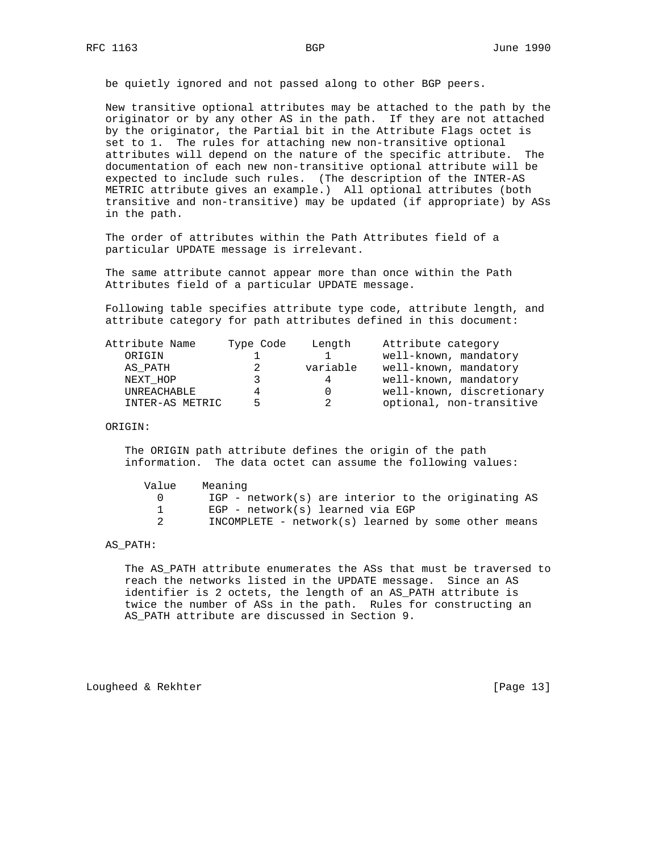be quietly ignored and not passed along to other BGP peers.

 New transitive optional attributes may be attached to the path by the originator or by any other AS in the path. If they are not attached by the originator, the Partial bit in the Attribute Flags octet is set to 1. The rules for attaching new non-transitive optional attributes will depend on the nature of the specific attribute. The documentation of each new non-transitive optional attribute will be expected to include such rules. (The description of the INTER-AS METRIC attribute gives an example.) All optional attributes (both transitive and non-transitive) may be updated (if appropriate) by ASs in the path.

 The order of attributes within the Path Attributes field of a particular UPDATE message is irrelevant.

 The same attribute cannot appear more than once within the Path Attributes field of a particular UPDATE message.

 Following table specifies attribute type code, attribute length, and attribute category for path attributes defined in this document:

| Type Code            | Length   | Attribute category        |
|----------------------|----------|---------------------------|
|                      |          | well-known, mandatory     |
|                      | variable | well-known, mandatory     |
|                      |          | well-known, mandatory     |
|                      |          | well-known, discretionary |
| INTER-AS METRIC<br>5 |          | optional, non-transitive  |
|                      |          |                           |

ORIGIN:

 The ORIGIN path attribute defines the origin of the path information. The data octet can assume the following values:

| Value | Meaning                                               |
|-------|-------------------------------------------------------|
|       | IGP - network(s) are interior to the originating AS   |
|       | EGP - network(s) learned via EGP                      |
|       | INCOMPLETE - $network(s)$ learned by some other means |

AS\_PATH:

 The AS\_PATH attribute enumerates the ASs that must be traversed to reach the networks listed in the UPDATE message. Since an AS identifier is 2 octets, the length of an AS\_PATH attribute is twice the number of ASs in the path. Rules for constructing an AS\_PATH attribute are discussed in Section 9.

Lougheed & Rekhter [Page 13]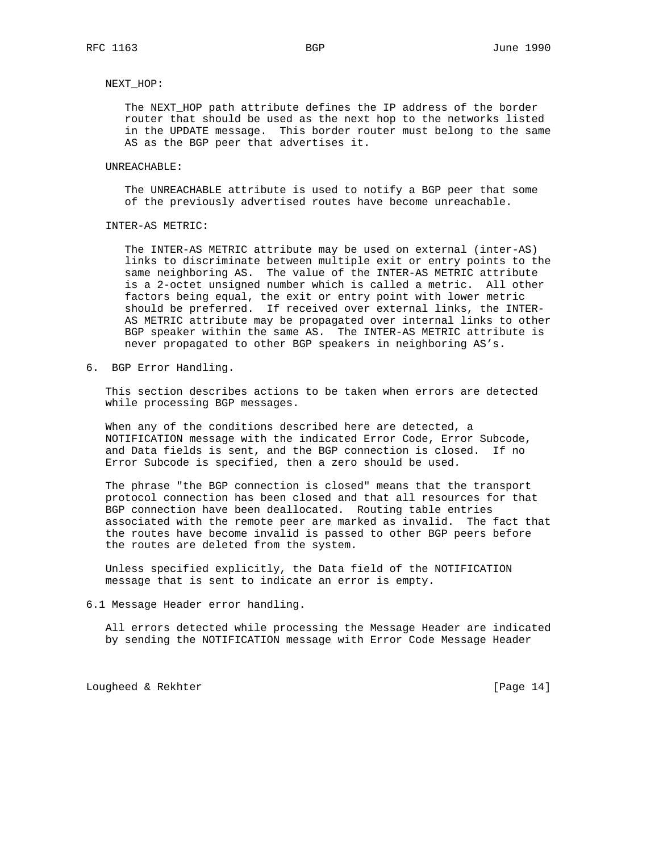#### NEXT\_HOP:

 The NEXT\_HOP path attribute defines the IP address of the border router that should be used as the next hop to the networks listed in the UPDATE message. This border router must belong to the same AS as the BGP peer that advertises it.

### UNREACHABLE:

 The UNREACHABLE attribute is used to notify a BGP peer that some of the previously advertised routes have become unreachable.

#### INTER-AS METRIC:

 The INTER-AS METRIC attribute may be used on external (inter-AS) links to discriminate between multiple exit or entry points to the same neighboring AS. The value of the INTER-AS METRIC attribute is a 2-octet unsigned number which is called a metric. All other factors being equal, the exit or entry point with lower metric should be preferred. If received over external links, the INTER- AS METRIC attribute may be propagated over internal links to other BGP speaker within the same AS. The INTER-AS METRIC attribute is never propagated to other BGP speakers in neighboring AS's.

6. BGP Error Handling.

 This section describes actions to be taken when errors are detected while processing BGP messages.

 When any of the conditions described here are detected, a NOTIFICATION message with the indicated Error Code, Error Subcode, and Data fields is sent, and the BGP connection is closed. If no Error Subcode is specified, then a zero should be used.

 The phrase "the BGP connection is closed" means that the transport protocol connection has been closed and that all resources for that BGP connection have been deallocated. Routing table entries associated with the remote peer are marked as invalid. The fact that the routes have become invalid is passed to other BGP peers before the routes are deleted from the system.

 Unless specified explicitly, the Data field of the NOTIFICATION message that is sent to indicate an error is empty.

6.1 Message Header error handling.

 All errors detected while processing the Message Header are indicated by sending the NOTIFICATION message with Error Code Message Header

Lougheed & Rekhter [Page 14]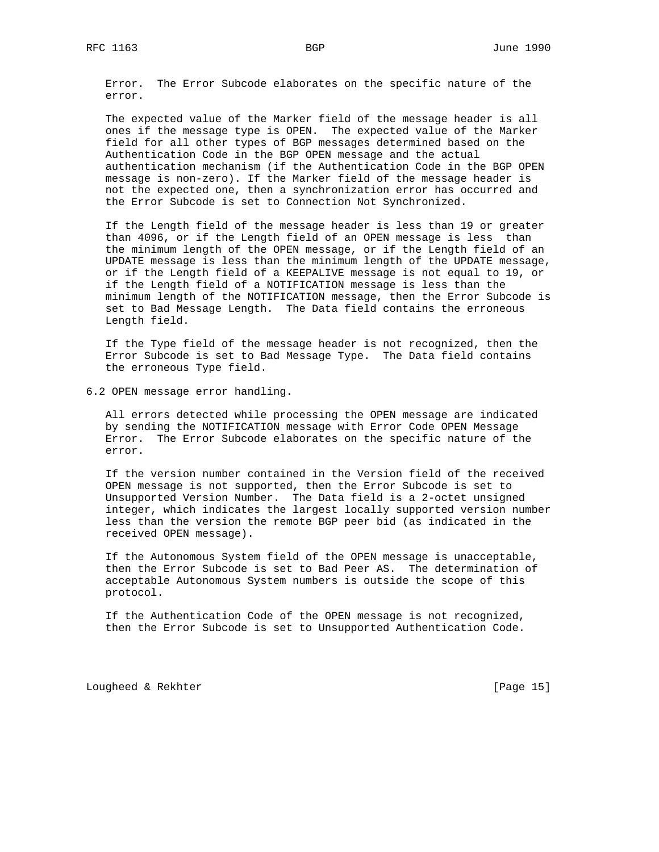Error. The Error Subcode elaborates on the specific nature of the error.

 The expected value of the Marker field of the message header is all ones if the message type is OPEN. The expected value of the Marker field for all other types of BGP messages determined based on the Authentication Code in the BGP OPEN message and the actual authentication mechanism (if the Authentication Code in the BGP OPEN message is non-zero). If the Marker field of the message header is not the expected one, then a synchronization error has occurred and the Error Subcode is set to Connection Not Synchronized.

 If the Length field of the message header is less than 19 or greater than 4096, or if the Length field of an OPEN message is less than the minimum length of the OPEN message, or if the Length field of an UPDATE message is less than the minimum length of the UPDATE message, or if the Length field of a KEEPALIVE message is not equal to 19, or if the Length field of a NOTIFICATION message is less than the minimum length of the NOTIFICATION message, then the Error Subcode is set to Bad Message Length. The Data field contains the erroneous Length field.

 If the Type field of the message header is not recognized, then the Error Subcode is set to Bad Message Type. The Data field contains the erroneous Type field.

6.2 OPEN message error handling.

 All errors detected while processing the OPEN message are indicated by sending the NOTIFICATION message with Error Code OPEN Message Error. The Error Subcode elaborates on the specific nature of the error.

 If the version number contained in the Version field of the received OPEN message is not supported, then the Error Subcode is set to Unsupported Version Number. The Data field is a 2-octet unsigned integer, which indicates the largest locally supported version number less than the version the remote BGP peer bid (as indicated in the received OPEN message).

 If the Autonomous System field of the OPEN message is unacceptable, then the Error Subcode is set to Bad Peer AS. The determination of acceptable Autonomous System numbers is outside the scope of this protocol.

 If the Authentication Code of the OPEN message is not recognized, then the Error Subcode is set to Unsupported Authentication Code.

Lougheed & Rekhter [Page 15]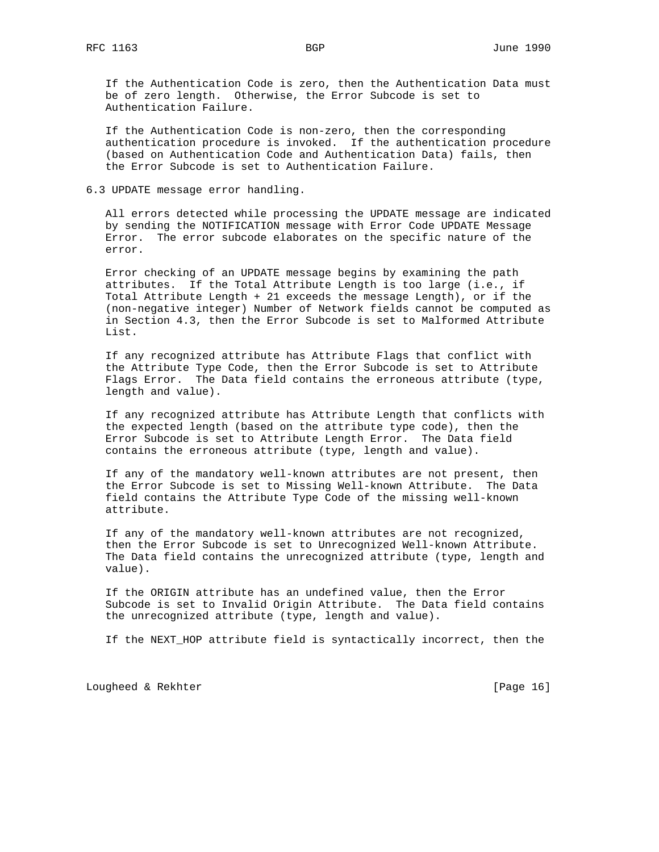If the Authentication Code is zero, then the Authentication Data must be of zero length. Otherwise, the Error Subcode is set to Authentication Failure.

 If the Authentication Code is non-zero, then the corresponding authentication procedure is invoked. If the authentication procedure (based on Authentication Code and Authentication Data) fails, then the Error Subcode is set to Authentication Failure.

6.3 UPDATE message error handling.

 All errors detected while processing the UPDATE message are indicated by sending the NOTIFICATION message with Error Code UPDATE Message Error. The error subcode elaborates on the specific nature of the error.

 Error checking of an UPDATE message begins by examining the path attributes. If the Total Attribute Length is too large (i.e., if Total Attribute Length + 21 exceeds the message Length), or if the (non-negative integer) Number of Network fields cannot be computed as in Section 4.3, then the Error Subcode is set to Malformed Attribute List.

 If any recognized attribute has Attribute Flags that conflict with the Attribute Type Code, then the Error Subcode is set to Attribute Flags Error. The Data field contains the erroneous attribute (type, length and value).

 If any recognized attribute has Attribute Length that conflicts with the expected length (based on the attribute type code), then the Error Subcode is set to Attribute Length Error. The Data field contains the erroneous attribute (type, length and value).

 If any of the mandatory well-known attributes are not present, then the Error Subcode is set to Missing Well-known Attribute. The Data field contains the Attribute Type Code of the missing well-known attribute.

 If any of the mandatory well-known attributes are not recognized, then the Error Subcode is set to Unrecognized Well-known Attribute. The Data field contains the unrecognized attribute (type, length and value).

 If the ORIGIN attribute has an undefined value, then the Error Subcode is set to Invalid Origin Attribute. The Data field contains the unrecognized attribute (type, length and value).

If the NEXT\_HOP attribute field is syntactically incorrect, then the

Lougheed & Rekhter [Page 16]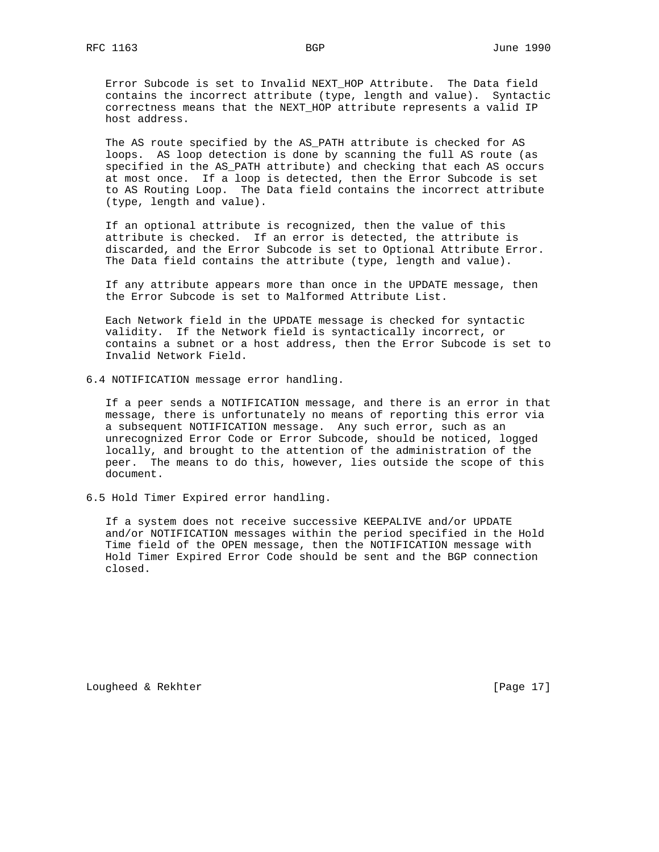Error Subcode is set to Invalid NEXT\_HOP Attribute. The Data field contains the incorrect attribute (type, length and value). Syntactic correctness means that the NEXT\_HOP attribute represents a valid IP host address.

 The AS route specified by the AS\_PATH attribute is checked for AS loops. AS loop detection is done by scanning the full AS route (as specified in the AS\_PATH attribute) and checking that each AS occurs at most once. If a loop is detected, then the Error Subcode is set to AS Routing Loop. The Data field contains the incorrect attribute (type, length and value).

 If an optional attribute is recognized, then the value of this attribute is checked. If an error is detected, the attribute is discarded, and the Error Subcode is set to Optional Attribute Error. The Data field contains the attribute (type, length and value).

 If any attribute appears more than once in the UPDATE message, then the Error Subcode is set to Malformed Attribute List.

 Each Network field in the UPDATE message is checked for syntactic validity. If the Network field is syntactically incorrect, or contains a subnet or a host address, then the Error Subcode is set to Invalid Network Field.

6.4 NOTIFICATION message error handling.

 If a peer sends a NOTIFICATION message, and there is an error in that message, there is unfortunately no means of reporting this error via a subsequent NOTIFICATION message. Any such error, such as an unrecognized Error Code or Error Subcode, should be noticed, logged locally, and brought to the attention of the administration of the peer. The means to do this, however, lies outside the scope of this document.

6.5 Hold Timer Expired error handling.

 If a system does not receive successive KEEPALIVE and/or UPDATE and/or NOTIFICATION messages within the period specified in the Hold Time field of the OPEN message, then the NOTIFICATION message with Hold Timer Expired Error Code should be sent and the BGP connection closed.

Lougheed & Rekhter [Page 17]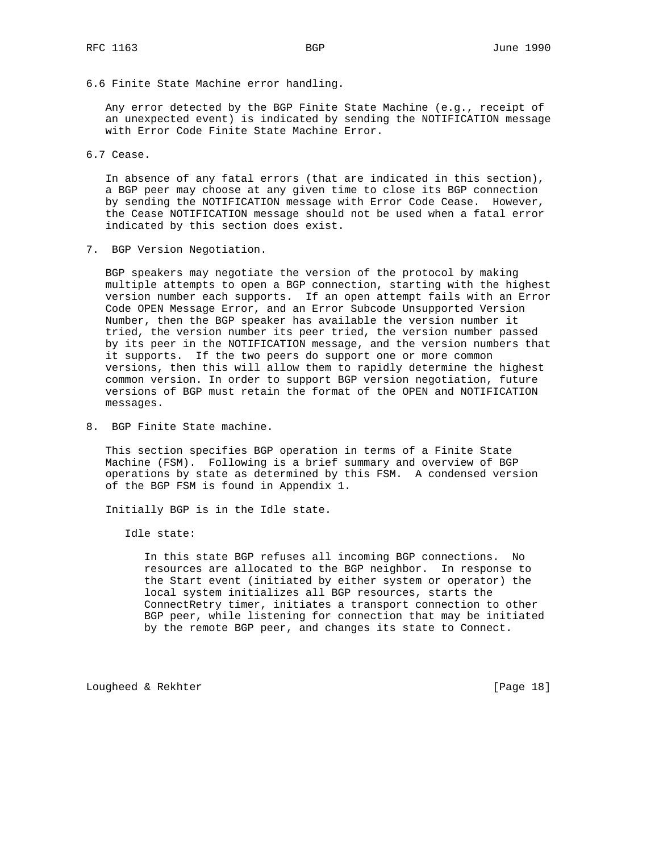6.6 Finite State Machine error handling.

 Any error detected by the BGP Finite State Machine (e.g., receipt of an unexpected event) is indicated by sending the NOTIFICATION message with Error Code Finite State Machine Error.

6.7 Cease.

 In absence of any fatal errors (that are indicated in this section), a BGP peer may choose at any given time to close its BGP connection by sending the NOTIFICATION message with Error Code Cease. However, the Cease NOTIFICATION message should not be used when a fatal error indicated by this section does exist.

7. BGP Version Negotiation.

 BGP speakers may negotiate the version of the protocol by making multiple attempts to open a BGP connection, starting with the highest version number each supports. If an open attempt fails with an Error Code OPEN Message Error, and an Error Subcode Unsupported Version Number, then the BGP speaker has available the version number it tried, the version number its peer tried, the version number passed by its peer in the NOTIFICATION message, and the version numbers that it supports. If the two peers do support one or more common versions, then this will allow them to rapidly determine the highest common version. In order to support BGP version negotiation, future versions of BGP must retain the format of the OPEN and NOTIFICATION messages.

8. BGP Finite State machine.

 This section specifies BGP operation in terms of a Finite State Machine (FSM). Following is a brief summary and overview of BGP operations by state as determined by this FSM. A condensed version of the BGP FSM is found in Appendix 1.

Initially BGP is in the Idle state.

Idle state:

 In this state BGP refuses all incoming BGP connections. No resources are allocated to the BGP neighbor. In response to the Start event (initiated by either system or operator) the local system initializes all BGP resources, starts the ConnectRetry timer, initiates a transport connection to other BGP peer, while listening for connection that may be initiated by the remote BGP peer, and changes its state to Connect.

Lougheed & Rekhter [Page 18]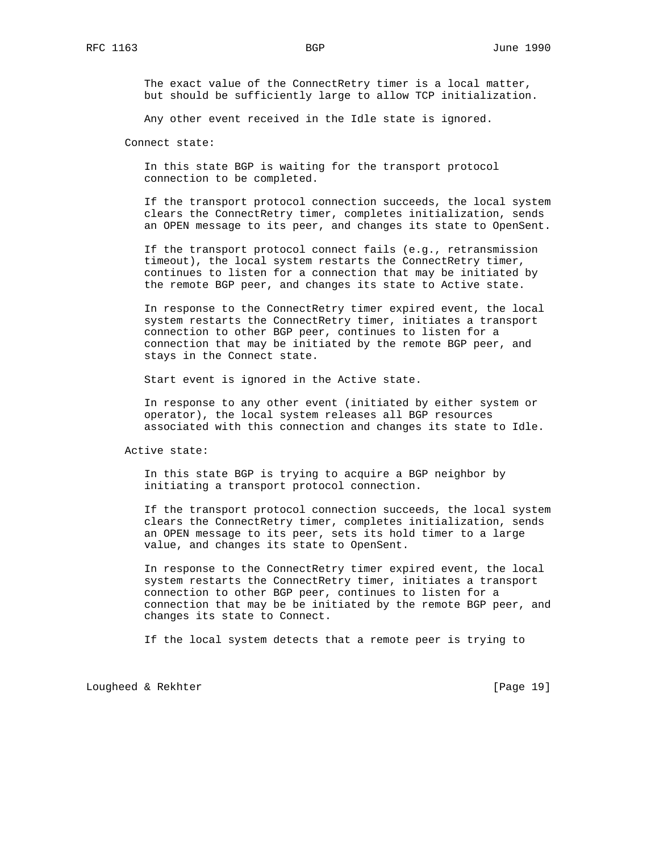The exact value of the ConnectRetry timer is a local matter, but should be sufficiently large to allow TCP initialization.

Any other event received in the Idle state is ignored.

Connect state:

 In this state BGP is waiting for the transport protocol connection to be completed.

 If the transport protocol connection succeeds, the local system clears the ConnectRetry timer, completes initialization, sends an OPEN message to its peer, and changes its state to OpenSent.

 If the transport protocol connect fails (e.g., retransmission timeout), the local system restarts the ConnectRetry timer, continues to listen for a connection that may be initiated by the remote BGP peer, and changes its state to Active state.

 In response to the ConnectRetry timer expired event, the local system restarts the ConnectRetry timer, initiates a transport connection to other BGP peer, continues to listen for a connection that may be initiated by the remote BGP peer, and stays in the Connect state.

Start event is ignored in the Active state.

 In response to any other event (initiated by either system or operator), the local system releases all BGP resources associated with this connection and changes its state to Idle.

Active state:

 In this state BGP is trying to acquire a BGP neighbor by initiating a transport protocol connection.

 If the transport protocol connection succeeds, the local system clears the ConnectRetry timer, completes initialization, sends an OPEN message to its peer, sets its hold timer to a large value, and changes its state to OpenSent.

 In response to the ConnectRetry timer expired event, the local system restarts the ConnectRetry timer, initiates a transport connection to other BGP peer, continues to listen for a connection that may be be initiated by the remote BGP peer, and changes its state to Connect.

If the local system detects that a remote peer is trying to

Lougheed & Rekhter [Page 19]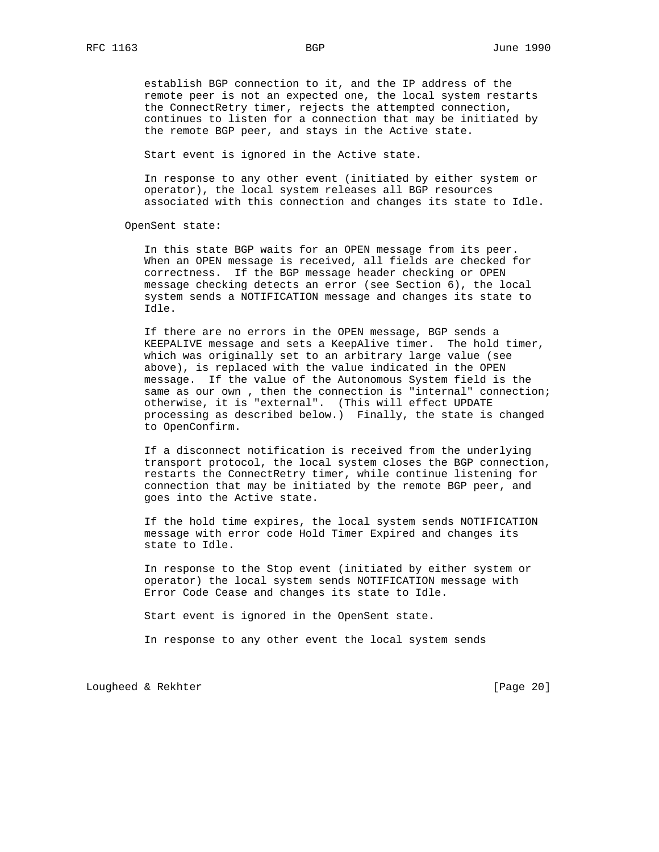establish BGP connection to it, and the IP address of the remote peer is not an expected one, the local system restarts the ConnectRetry timer, rejects the attempted connection, continues to listen for a connection that may be initiated by the remote BGP peer, and stays in the Active state.

Start event is ignored in the Active state.

 In response to any other event (initiated by either system or operator), the local system releases all BGP resources associated with this connection and changes its state to Idle.

OpenSent state:

 In this state BGP waits for an OPEN message from its peer. When an OPEN message is received, all fields are checked for correctness. If the BGP message header checking or OPEN message checking detects an error (see Section 6), the local system sends a NOTIFICATION message and changes its state to Idle.

 If there are no errors in the OPEN message, BGP sends a KEEPALIVE message and sets a KeepAlive timer. The hold timer, which was originally set to an arbitrary large value (see above), is replaced with the value indicated in the OPEN message. If the value of the Autonomous System field is the same as our own , then the connection is "internal" connection; otherwise, it is "external". (This will effect UPDATE processing as described below.) Finally, the state is changed to OpenConfirm.

 If a disconnect notification is received from the underlying transport protocol, the local system closes the BGP connection, restarts the ConnectRetry timer, while continue listening for connection that may be initiated by the remote BGP peer, and goes into the Active state.

 If the hold time expires, the local system sends NOTIFICATION message with error code Hold Timer Expired and changes its state to Idle.

 In response to the Stop event (initiated by either system or operator) the local system sends NOTIFICATION message with Error Code Cease and changes its state to Idle.

Start event is ignored in the OpenSent state.

In response to any other event the local system sends

Lougheed & Rekhter [Page 20]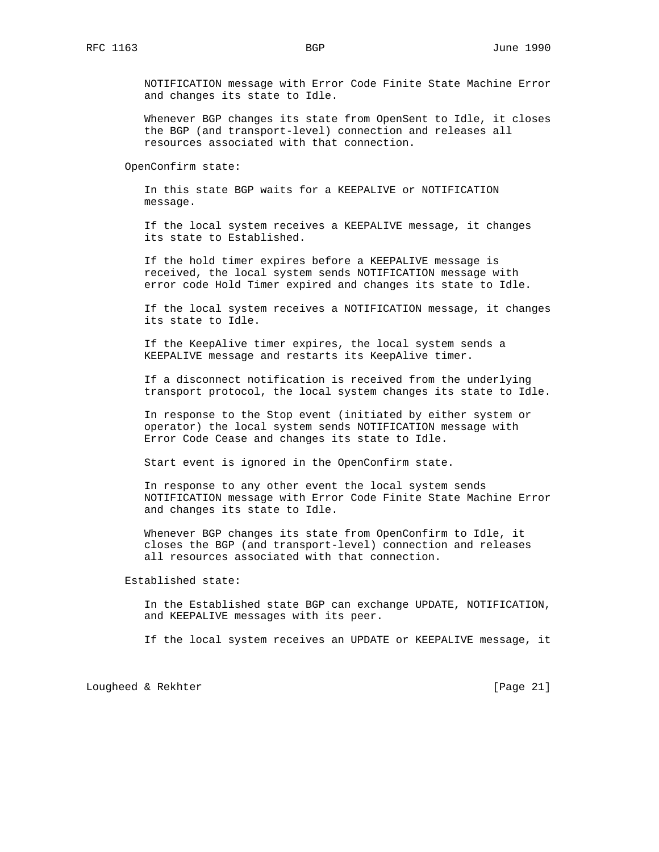NOTIFICATION message with Error Code Finite State Machine Error and changes its state to Idle.

 Whenever BGP changes its state from OpenSent to Idle, it closes the BGP (and transport-level) connection and releases all resources associated with that connection.

OpenConfirm state:

 In this state BGP waits for a KEEPALIVE or NOTIFICATION message.

 If the local system receives a KEEPALIVE message, it changes its state to Established.

 If the hold timer expires before a KEEPALIVE message is received, the local system sends NOTIFICATION message with error code Hold Timer expired and changes its state to Idle.

 If the local system receives a NOTIFICATION message, it changes its state to Idle.

 If the KeepAlive timer expires, the local system sends a KEEPALIVE message and restarts its KeepAlive timer.

 If a disconnect notification is received from the underlying transport protocol, the local system changes its state to Idle.

 In response to the Stop event (initiated by either system or operator) the local system sends NOTIFICATION message with Error Code Cease and changes its state to Idle.

Start event is ignored in the OpenConfirm state.

 In response to any other event the local system sends NOTIFICATION message with Error Code Finite State Machine Error and changes its state to Idle.

 Whenever BGP changes its state from OpenConfirm to Idle, it closes the BGP (and transport-level) connection and releases all resources associated with that connection.

Established state:

 In the Established state BGP can exchange UPDATE, NOTIFICATION, and KEEPALIVE messages with its peer.

If the local system receives an UPDATE or KEEPALIVE message, it

Lougheed & Rekhter [Page 21]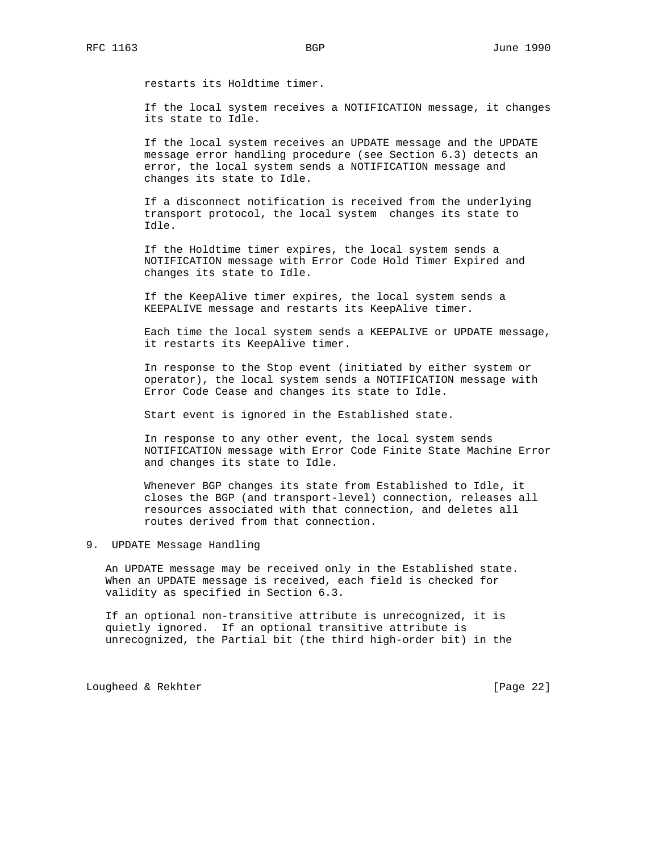restarts its Holdtime timer.

 If the local system receives a NOTIFICATION message, it changes its state to Idle.

 If the local system receives an UPDATE message and the UPDATE message error handling procedure (see Section 6.3) detects an error, the local system sends a NOTIFICATION message and changes its state to Idle.

 If a disconnect notification is received from the underlying transport protocol, the local system changes its state to Idle.

 If the Holdtime timer expires, the local system sends a NOTIFICATION message with Error Code Hold Timer Expired and changes its state to Idle.

 If the KeepAlive timer expires, the local system sends a KEEPALIVE message and restarts its KeepAlive timer.

 Each time the local system sends a KEEPALIVE or UPDATE message, it restarts its KeepAlive timer.

 In response to the Stop event (initiated by either system or operator), the local system sends a NOTIFICATION message with Error Code Cease and changes its state to Idle.

Start event is ignored in the Established state.

 In response to any other event, the local system sends NOTIFICATION message with Error Code Finite State Machine Error and changes its state to Idle.

 Whenever BGP changes its state from Established to Idle, it closes the BGP (and transport-level) connection, releases all resources associated with that connection, and deletes all routes derived from that connection.

## 9. UPDATE Message Handling

 An UPDATE message may be received only in the Established state. When an UPDATE message is received, each field is checked for validity as specified in Section 6.3.

 If an optional non-transitive attribute is unrecognized, it is quietly ignored. If an optional transitive attribute is unrecognized, the Partial bit (the third high-order bit) in the

Lougheed & Rekhter [Page 22]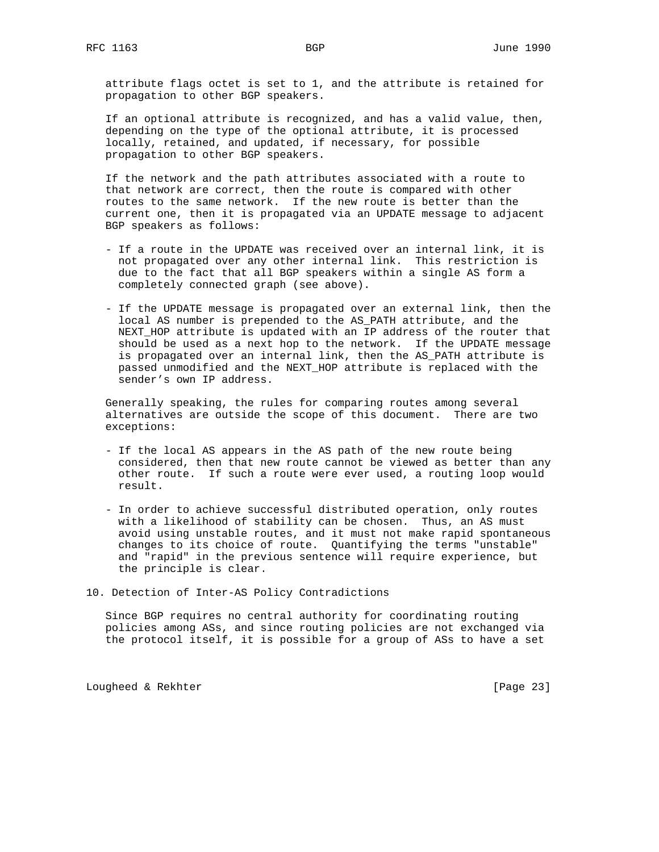attribute flags octet is set to 1, and the attribute is retained for propagation to other BGP speakers.

 If an optional attribute is recognized, and has a valid value, then, depending on the type of the optional attribute, it is processed locally, retained, and updated, if necessary, for possible propagation to other BGP speakers.

 If the network and the path attributes associated with a route to that network are correct, then the route is compared with other routes to the same network. If the new route is better than the current one, then it is propagated via an UPDATE message to adjacent BGP speakers as follows:

- If a route in the UPDATE was received over an internal link, it is not propagated over any other internal link. This restriction is due to the fact that all BGP speakers within a single AS form a completely connected graph (see above).
- If the UPDATE message is propagated over an external link, then the local AS number is prepended to the AS\_PATH attribute, and the NEXT\_HOP attribute is updated with an IP address of the router that should be used as a next hop to the network. If the UPDATE message is propagated over an internal link, then the AS\_PATH attribute is passed unmodified and the NEXT\_HOP attribute is replaced with the sender's own IP address.

 Generally speaking, the rules for comparing routes among several alternatives are outside the scope of this document. There are two exceptions:

- If the local AS appears in the AS path of the new route being considered, then that new route cannot be viewed as better than any other route. If such a route were ever used, a routing loop would result.
- In order to achieve successful distributed operation, only routes with a likelihood of stability can be chosen. Thus, an AS must avoid using unstable routes, and it must not make rapid spontaneous changes to its choice of route. Quantifying the terms "unstable" and "rapid" in the previous sentence will require experience, but the principle is clear.
- 10. Detection of Inter-AS Policy Contradictions

 Since BGP requires no central authority for coordinating routing policies among ASs, and since routing policies are not exchanged via the protocol itself, it is possible for a group of ASs to have a set

Lougheed & Rekhter [Page 23]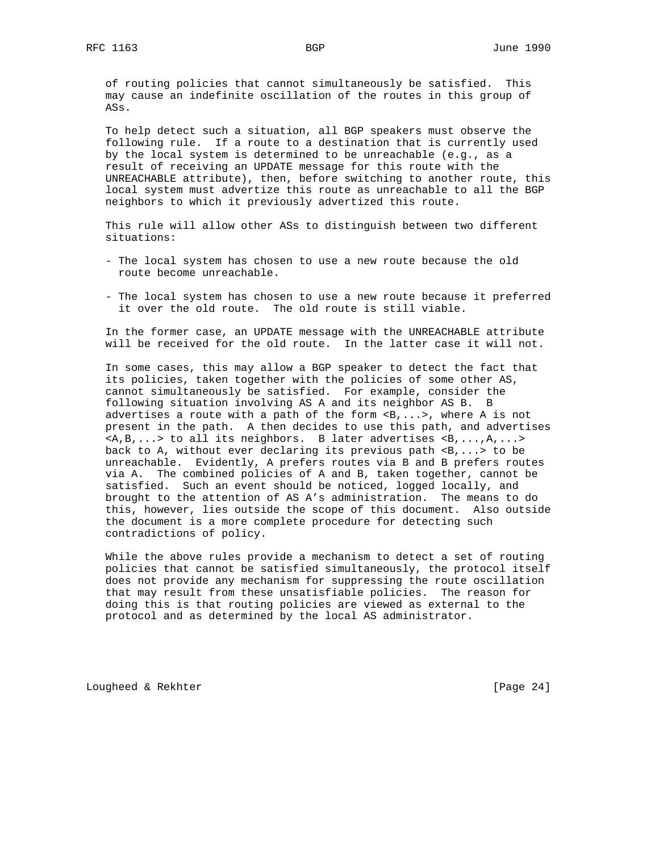of routing policies that cannot simultaneously be satisfied. This may cause an indefinite oscillation of the routes in this group of ASs.

 To help detect such a situation, all BGP speakers must observe the following rule. If a route to a destination that is currently used by the local system is determined to be unreachable (e.g., as a result of receiving an UPDATE message for this route with the UNREACHABLE attribute), then, before switching to another route, this local system must advertize this route as unreachable to all the BGP neighbors to which it previously advertized this route.

 This rule will allow other ASs to distinguish between two different situations:

- The local system has chosen to use a new route because the old route become unreachable.
- The local system has chosen to use a new route because it preferred it over the old route. The old route is still viable.

 In the former case, an UPDATE message with the UNREACHABLE attribute will be received for the old route. In the latter case it will not.

 In some cases, this may allow a BGP speaker to detect the fact that its policies, taken together with the policies of some other AS, cannot simultaneously be satisfied. For example, consider the following situation involving AS A and its neighbor AS B. B advertises a route with a path of the form <B,...>, where A is not present in the path. A then decides to use this path, and advertises  $\langle A,B,\ldots\rangle$  to all its neighbors. B later advertises  $\langle B,\ldots,A,\ldots\rangle$ back to A, without ever declaring its previous path  $\langle B, \ldots \rangle$  to be unreachable. Evidently, A prefers routes via B and B prefers routes via A. The combined policies of A and B, taken together, cannot be satisfied. Such an event should be noticed, logged locally, and brought to the attention of AS A's administration. The means to do this, however, lies outside the scope of this document. Also outside the document is a more complete procedure for detecting such contradictions of policy.

 While the above rules provide a mechanism to detect a set of routing policies that cannot be satisfied simultaneously, the protocol itself does not provide any mechanism for suppressing the route oscillation that may result from these unsatisfiable policies. The reason for doing this is that routing policies are viewed as external to the protocol and as determined by the local AS administrator.

Lougheed & Rekhter [Page 24]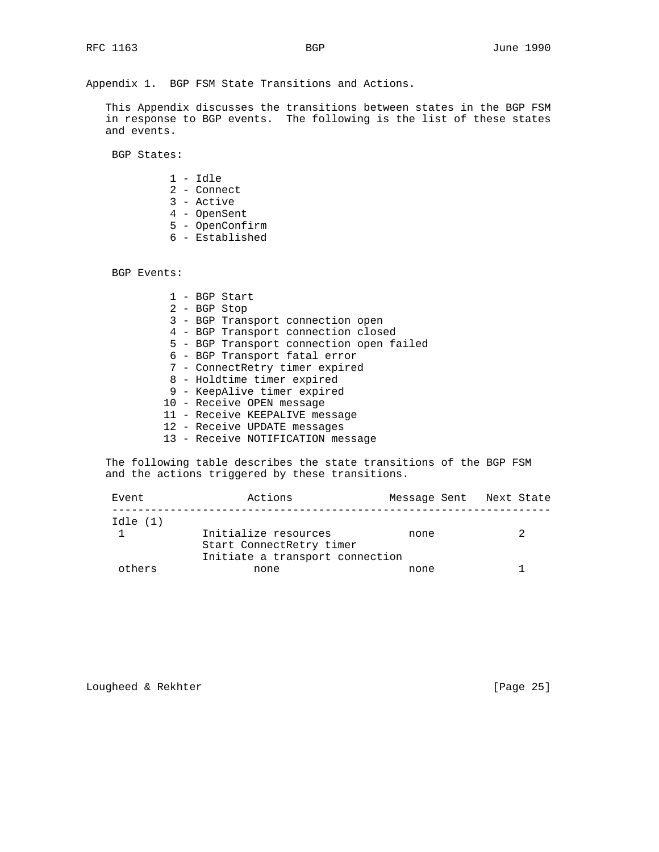Appendix 1. BGP FSM State Transitions and Actions.

 This Appendix discusses the transitions between states in the BGP FSM in response to BGP events. The following is the list of these states and events.

BGP States:

- 1 Idle
- 2 Connect
- 3 Active
- 4 OpenSent
- 5 OpenConfirm
- 6 Established

BGP Events:

 1 - BGP Start 2 - BGP Stop 3 - BGP Transport connection open 4 - BGP Transport connection closed 5 - BGP Transport connection open failed 6 - BGP Transport fatal error 7 - ConnectRetry timer expired 8 - Holdtime timer expired 9 - KeepAlive timer expired 10 - Receive OPEN message 11 - Receive KEEPALIVE message 12 - Receive UPDATE messages 13 - Receive NOTIFICATION message

 The following table describes the state transitions of the BGP FSM and the actions triggered by these transitions.

| Event   | Actions                         | Message Sent Next State |  |
|---------|---------------------------------|-------------------------|--|
| Idle(1) |                                 |                         |  |
|         | Initialize resources            | none                    |  |
|         | Start ConnectRetry timer        |                         |  |
|         | Initiate a transport connection |                         |  |
| others  | none                            | none                    |  |

Lougheed & Rekhter [Page 25]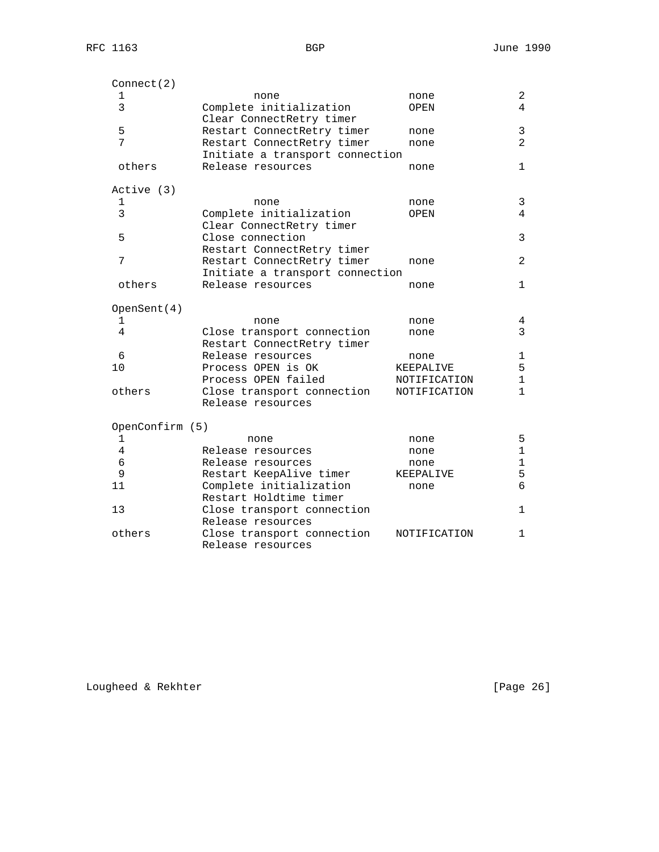| Connect $(2)$   |                                 |              |                |
|-----------------|---------------------------------|--------------|----------------|
| $\mathbf 1$     | none                            | none         | 2              |
| 3               | Complete initialization         | OPEN         | 4              |
|                 | Clear ConnectRetry timer        |              |                |
| 5               | Restart ConnectRetry timer      | none         | $\mathbf{3}$   |
| 7               | Restart ConnectRetry timer      | none         | $\overline{2}$ |
|                 | Initiate a transport connection |              |                |
| others          | Release resources               | none         | $\mathbf 1$    |
| Active (3)      |                                 |              |                |
| 1               | none                            | none         | 3              |
| 3               | Complete initialization         | OPEN         | 4              |
|                 | Clear ConnectRetry timer        |              |                |
| 5               | Close connection                |              | 3              |
|                 | Restart ConnectRetry timer      |              |                |
| 7               | Restart ConnectRetry timer      | none         | $\overline{2}$ |
|                 | Initiate a transport connection |              |                |
| others          | Release resources               | none         | 1              |
| OpenSent(4)     |                                 |              |                |
| 1               | none                            | none         | 4              |
| 4               | Close transport connection      | none         | 3              |
|                 | Restart ConnectRetry timer      |              |                |
| 6               | Release resources               | none         | $\mathbf 1$    |
| 10              | Process OPEN is OK              | KEEPALIVE    | 5              |
|                 | Process OPEN failed             | NOTIFICATION | 1              |
| others          | Close transport connection      | NOTIFICATION | 1              |
|                 | Release resources               |              |                |
| OpenConfirm (5) |                                 |              |                |
| 1               | none                            | none         | 5              |
| $\overline{4}$  | Release resources               | none         | $\mathbf 1$    |
| 6               | Release resources               | none         | $\mathbf 1$    |
| 9               | Restart KeepAlive timer         | KEEPALIVE    | 5              |
| 11              | Complete initialization         | none         | 6              |
|                 | Restart Holdtime timer          |              |                |
| 13              | Close transport connection      |              | $\mathbf 1$    |
|                 | Release resources               |              |                |
| others          | Close transport connection      | NOTIFICATION | 1              |
|                 | Release resources               |              |                |

Lougheed & Rekhter [Page 26]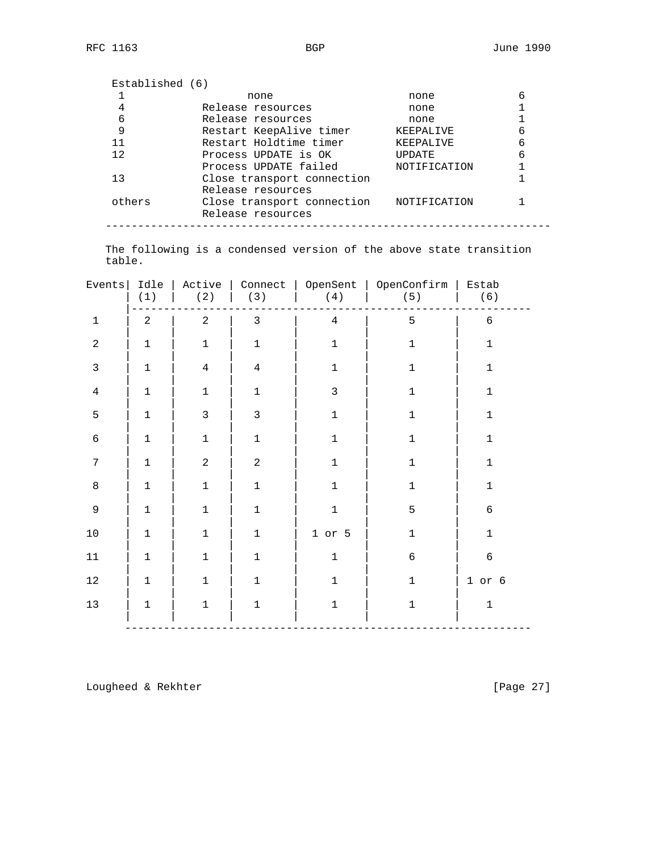| Release resources<br>Release resources | none          |   |
|----------------------------------------|---------------|---|
|                                        |               |   |
|                                        | none          |   |
| Restart KeepAlive timer                | KEEPALIVE     | 6 |
| Restart Holdtime timer                 | KEEPALIVE     | 6 |
| Process UPDATE is OK                   | <b>UPDATE</b> | 6 |
| Process UPDATE failed                  | NOTIFICATION  |   |
| Close transport connection             |               |   |
| Release resources                      |               |   |
| Close transport connection             | NOTIFICATION  |   |
|                                        |               |   |

 The following is a condensed version of the above state transition table.

| Events         | Idle  <br>(1)  | (2)            | (3)            | (4)            | Active   Connect   OpenSent   OpenConfirm   Estab<br>(5) | (6)          |
|----------------|----------------|----------------|----------------|----------------|----------------------------------------------------------|--------------|
| $\mathbf 1$    | $\overline{a}$ | $\overline{a}$ | $\overline{3}$ | $\overline{4}$ | 5                                                        | $\sqrt{6}$   |
| $\sqrt{2}$     | $\mathbf 1$    | $\mathbf 1$    | $1\,$          | $\mathbf{1}$   | $\mathbf{1}$                                             | $1\,$        |
| $\overline{3}$ | $\mathbf 1$    | $\overline{4}$ | $\overline{4}$ | $\mathbf{1}$   | $\mathbf{1}$                                             | $\mathbf{1}$ |
| $\overline{4}$ | $\mathbf{1}$   | $\mathbf 1$    | $\mathbf{1}$   | 3              | $\mathbf{1}$                                             | $\mathbf{1}$ |
| 5              | $\mathbf 1$    | $\mathbf{3}$   | 3              | $\mathbf{1}$   | $\mathbf{1}$                                             | $1\,$        |
| $\sqrt{6}$     | $\mathbf 1$    | $\mathbf 1$    | $1\,$          | $\mathbf 1$    | $\mathbf 1$                                              | $\mathbf 1$  |
| $\overline{7}$ | $\mathbf 1$    | $\sqrt{2}$     | $\overline{a}$ | $\mathbf{1}$   | $\mathbf{1}$                                             | $1\,$        |
| $\,8\,$        | $\mathbf{1}$   | $\mathbf 1$    | $1\,$          | $\mathbf{1}$   | $1\,$                                                    | $1\,$        |
| $\overline{9}$ | $\mathbf{1}$   | $\mathbf 1$    | $\mathbf{1}$   | $\mathbf{1}$   | 5                                                        | $\epsilon$   |
| $10$           | $\mathbf{1}$   | $\mathbf 1$    | $\mathbf 1$    | $1$ or $5$     | $\mathbf{1}$                                             | $1\,$        |
| 11             | $\mathbf{1}$   | $\mathbf 1$    | $\mathbf{1}$   | $\mathbf{1}$   | 6                                                        | $\sqrt{6}$   |
| $12\,$         | $\mathbf 1$    | $\mathbf 1$    | $\mathbf{1}$   | $\mathbf 1$    | $\mathbf{1}$                                             | $1$ or $6$   |
| 13             | $\mathbf 1$    | $\mathbf 1$    | $1\,$          | $\mathbf 1$    | $\mathbf{1}$                                             | $\mathbf 1$  |
|                |                |                |                |                |                                                          |              |

Lougheed & Rekhter [Page 27]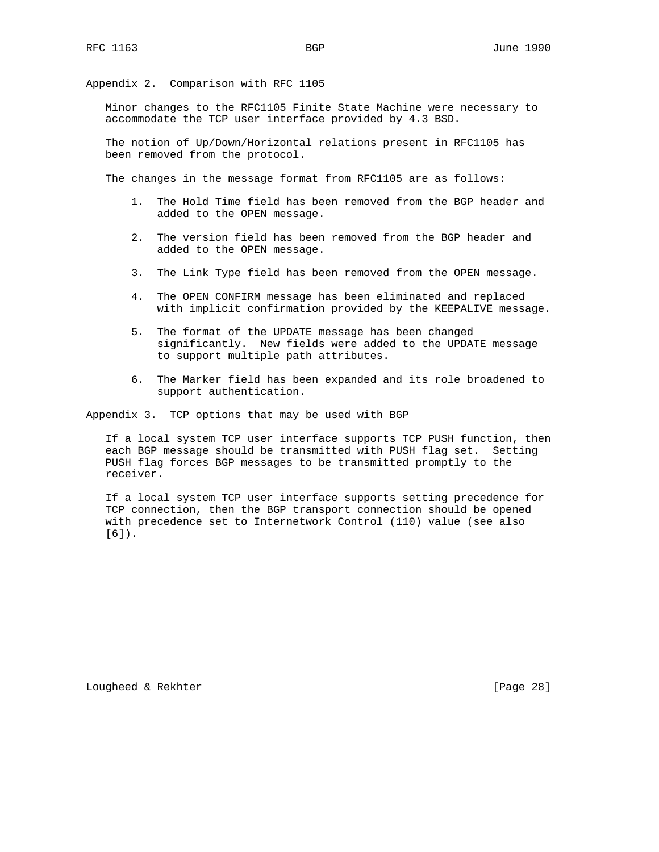Appendix 2. Comparison with RFC 1105

 Minor changes to the RFC1105 Finite State Machine were necessary to accommodate the TCP user interface provided by 4.3 BSD.

 The notion of Up/Down/Horizontal relations present in RFC1105 has been removed from the protocol.

The changes in the message format from RFC1105 are as follows:

- 1. The Hold Time field has been removed from the BGP header and added to the OPEN message.
- 2. The version field has been removed from the BGP header and added to the OPEN message.
- 3. The Link Type field has been removed from the OPEN message.
- 4. The OPEN CONFIRM message has been eliminated and replaced with implicit confirmation provided by the KEEPALIVE message.
- 5. The format of the UPDATE message has been changed significantly. New fields were added to the UPDATE message to support multiple path attributes.
- 6. The Marker field has been expanded and its role broadened to support authentication.

Appendix 3. TCP options that may be used with BGP

 If a local system TCP user interface supports TCP PUSH function, then each BGP message should be transmitted with PUSH flag set. Setting PUSH flag forces BGP messages to be transmitted promptly to the receiver.

 If a local system TCP user interface supports setting precedence for TCP connection, then the BGP transport connection should be opened with precedence set to Internetwork Control (110) value (see also [6]).

Lougheed & Rekhter [Page 28]